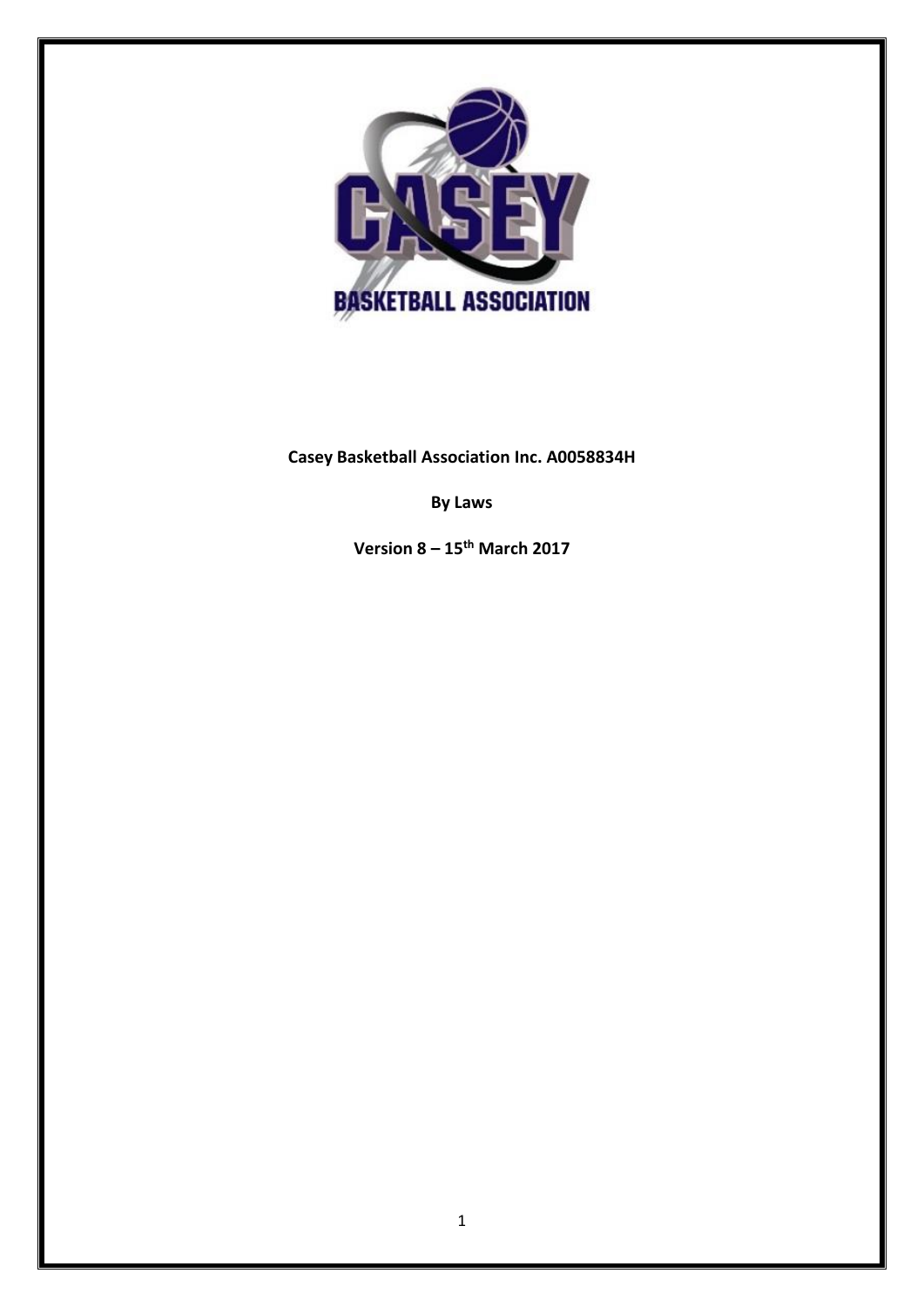

**Casey Basketball Association Inc. A0058834H**

**By Laws**

**Version 8 – 15th March 2017**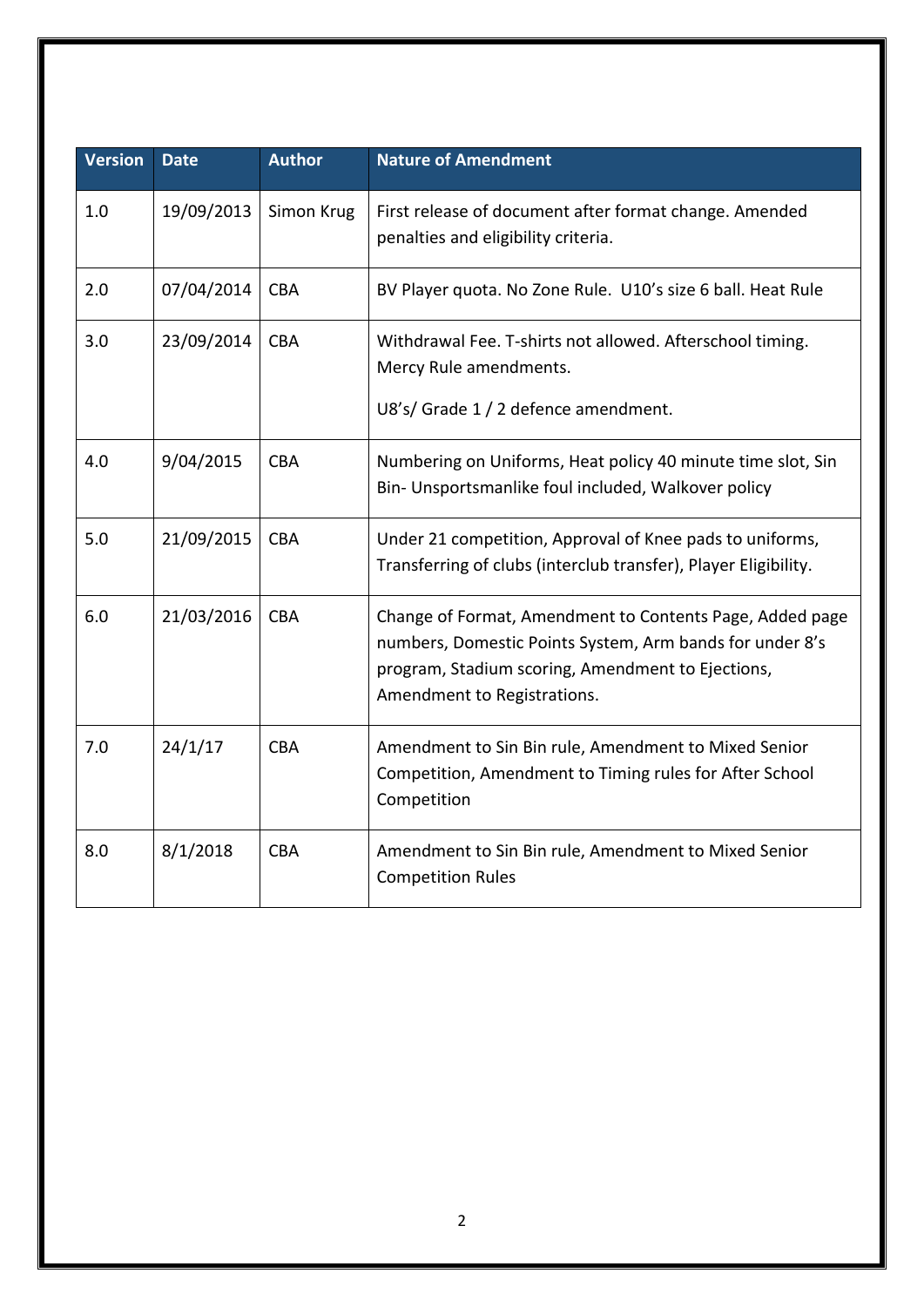| <b>Version</b> | <b>Date</b> | <b>Author</b> | <b>Nature of Amendment</b>                                                                                                                                                                               |
|----------------|-------------|---------------|----------------------------------------------------------------------------------------------------------------------------------------------------------------------------------------------------------|
| 1.0            | 19/09/2013  | Simon Krug    | First release of document after format change. Amended<br>penalties and eligibility criteria.                                                                                                            |
| 2.0            | 07/04/2014  | <b>CBA</b>    | BV Player quota. No Zone Rule. U10's size 6 ball. Heat Rule                                                                                                                                              |
| 3.0            | 23/09/2014  | <b>CBA</b>    | Withdrawal Fee. T-shirts not allowed. Afterschool timing.<br>Mercy Rule amendments.<br>U8's/ Grade 1 / 2 defence amendment.                                                                              |
| 4.0            | 9/04/2015   | <b>CBA</b>    | Numbering on Uniforms, Heat policy 40 minute time slot, Sin<br>Bin- Unsportsmanlike foul included, Walkover policy                                                                                       |
| 5.0            | 21/09/2015  | <b>CBA</b>    | Under 21 competition, Approval of Knee pads to uniforms,<br>Transferring of clubs (interclub transfer), Player Eligibility.                                                                              |
| 6.0            | 21/03/2016  | <b>CBA</b>    | Change of Format, Amendment to Contents Page, Added page<br>numbers, Domestic Points System, Arm bands for under 8's<br>program, Stadium scoring, Amendment to Ejections,<br>Amendment to Registrations. |
| 7.0            | 24/1/17     | <b>CBA</b>    | Amendment to Sin Bin rule, Amendment to Mixed Senior<br>Competition, Amendment to Timing rules for After School<br>Competition                                                                           |
| 8.0            | 8/1/2018    | <b>CBA</b>    | Amendment to Sin Bin rule, Amendment to Mixed Senior<br><b>Competition Rules</b>                                                                                                                         |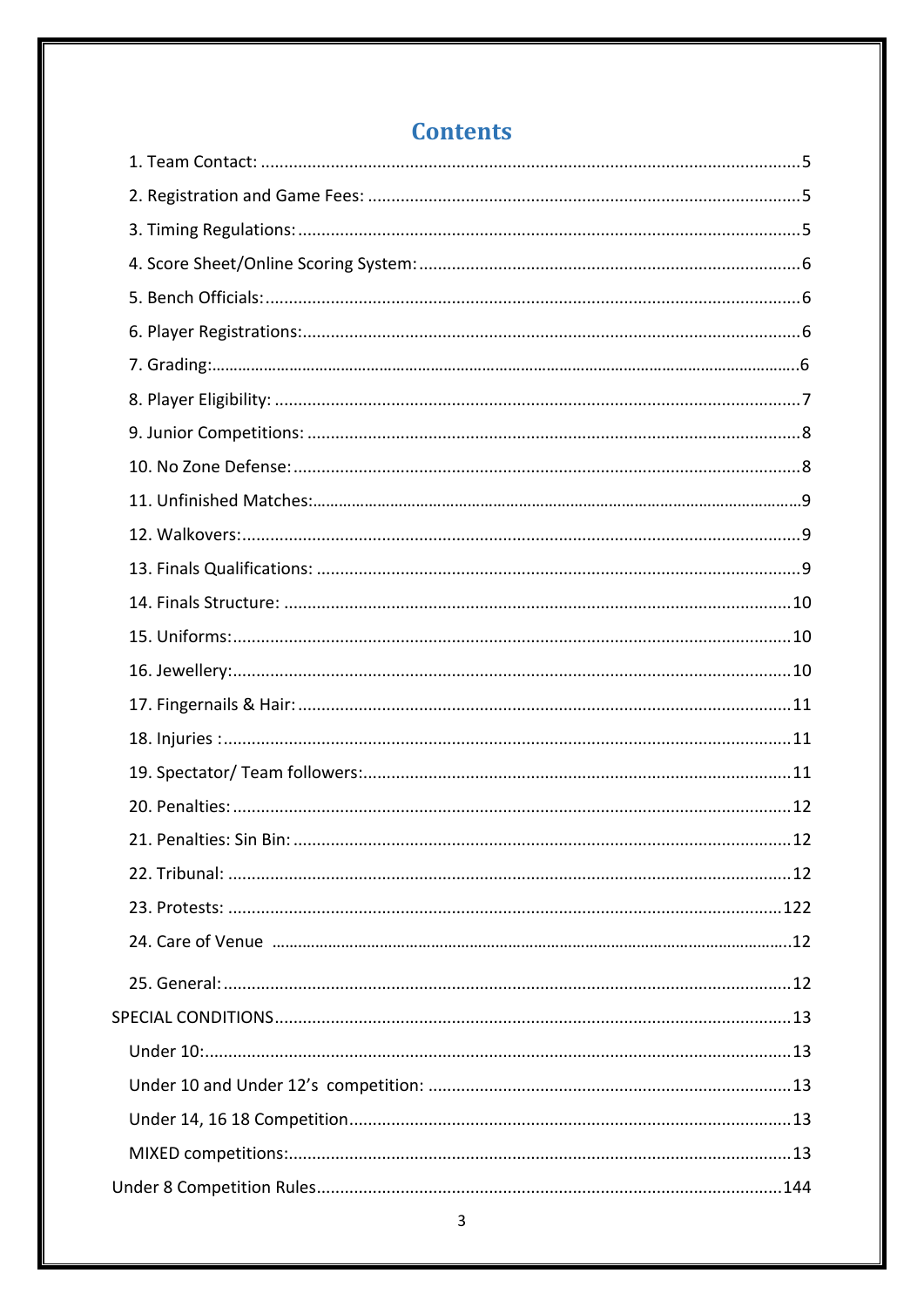# **Contents**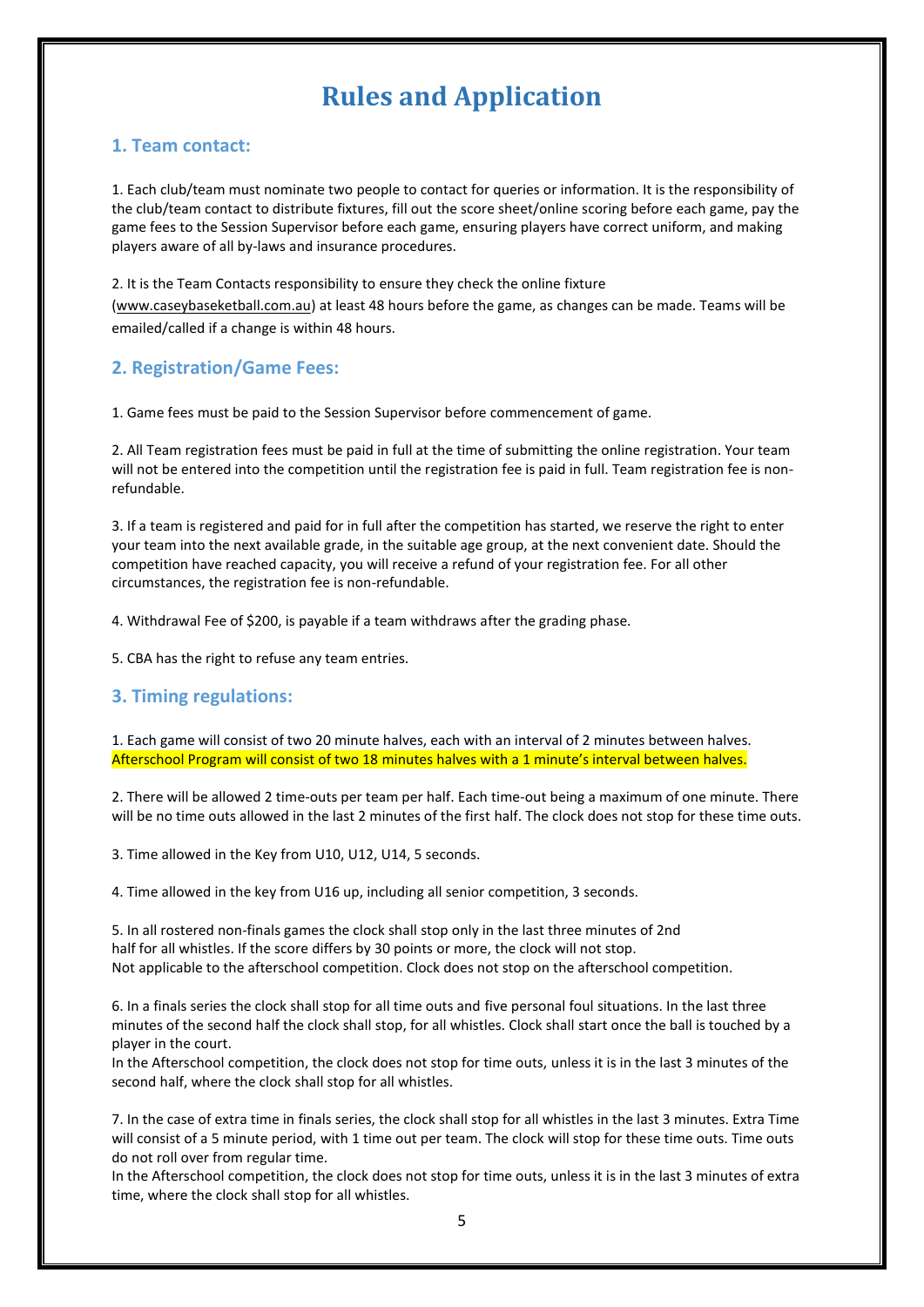# **Rules and Application**

## <span id="page-4-0"></span>**1. Team contact:**

1. Each club/team must nominate two people to contact for queries or information. It is the responsibility of the club/team contact to distribute fixtures, fill out the score sheet/online scoring before each game, pay the game fees to the Session Supervisor before each game, ensuring players have correct uniform, and making players aware of all by-laws and insurance procedures.

2. It is the Team Contacts responsibility to ensure they check the online fixture [\(www.caseybaseketball.com.au\)](http://www.caseybaseketball.com.au/) at least 48 hours before the game, as changes can be made. Teams will be emailed/called if a change is within 48 hours.

# **2. Registration/Game Fees:**

1. Game fees must be paid to the Session Supervisor before commencement of game.

2. All Team registration fees must be paid in full at the time of submitting the online registration. Your team will not be entered into the competition until the registration fee is paid in full. Team registration fee is nonrefundable.

3. If a team is registered and paid for in full after the competition has started, we reserve the right to enter your team into the next available grade, in the suitable age group, at the next convenient date. Should the competition have reached capacity, you will receive a refund of your registration fee. For all other circumstances, the registration fee is non-refundable.

4. Withdrawal Fee of \$200, is payable if a team withdraws after the grading phase.

5. CBA has the right to refuse any team entries.

# <span id="page-4-1"></span>**3. Timing regulations:**

1. Each game will consist of two 20 minute halves, each with an interval of 2 minutes between halves. Afterschool Program will consist of two 18 minutes halves with a 1 minute's interval between halves.

2. There will be allowed 2 time-outs per team per half. Each time-out being a maximum of one minute. There will be no time outs allowed in the last 2 minutes of the first half. The clock does not stop for these time outs.

3. Time allowed in the Key from U10, U12, U14, 5 seconds.

4. Time allowed in the key from U16 up, including all senior competition, 3 seconds.

5. In all rostered non-finals games the clock shall stop only in the last three minutes of 2nd half for all whistles. If the score differs by 30 points or more, the clock will not stop. Not applicable to the afterschool competition. Clock does not stop on the afterschool competition.

6. In a finals series the clock shall stop for all time outs and five personal foul situations. In the last three minutes of the second half the clock shall stop, for all whistles. Clock shall start once the ball is touched by a player in the court.

In the Afterschool competition, the clock does not stop for time outs, unless it is in the last 3 minutes of the second half, where the clock shall stop for all whistles.

7. In the case of extra time in finals series, the clock shall stop for all whistles in the last 3 minutes. Extra Time will consist of a 5 minute period, with 1 time out per team. The clock will stop for these time outs. Time outs do not roll over from regular time.

In the Afterschool competition, the clock does not stop for time outs, unless it is in the last 3 minutes of extra time, where the clock shall stop for all whistles.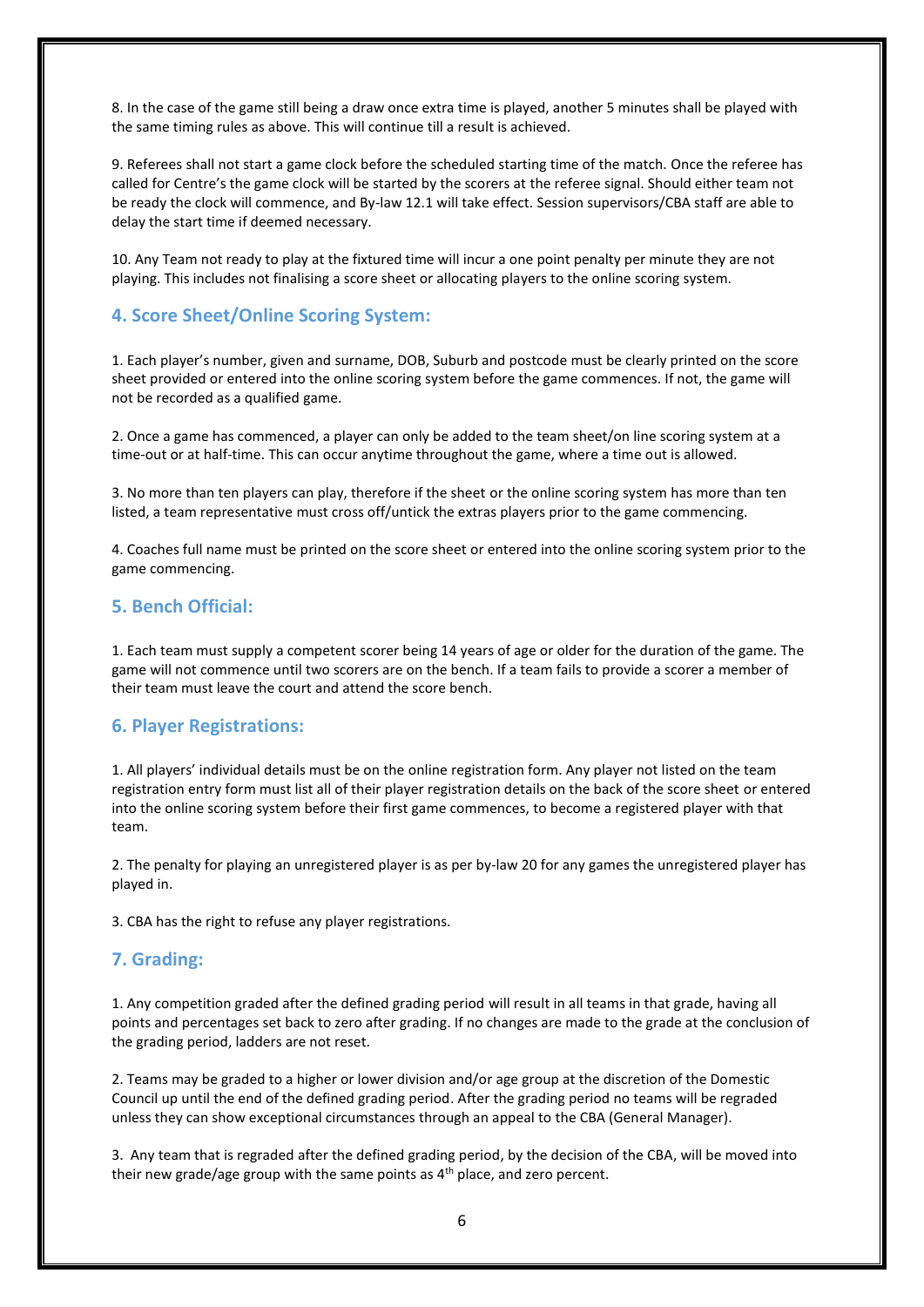8. In the case of the game still being a draw once extra time is played, another 5 minutes shall be played with the same timing rules as above. This will continue till a result is achieved.

9. Referees shall not start a game clock before the scheduled starting time of the match. Once the referee has called for Centre's the game clock will be started by the scorers at the referee signal. Should either team not be ready the clock will commence, and By-law 12.1 will take effect. Session supervisors/CBA staff are able to delay the start time if deemed necessary.

10. Any Team not ready to play at the fixtured time will incur a one point penalty per minute they are not playing. This includes not finalising a score sheet or allocating players to the online scoring system.

#### <span id="page-5-0"></span>**4. Score Sheet/Online Scoring System:**

1. Each player's number, given and surname, DOB, Suburb and postcode must be clearly printed on the score sheet provided or entered into the online scoring system before the game commences. If not, the game will not be recorded as a qualified game.

2. Once a game has commenced, a player can only be added to the team sheet/on line scoring system at a time-out or at half-time. This can occur anytime throughout the game, where a time out is allowed.

3. No more than ten players can play, therefore if the sheet or the online scoring system has more than ten listed, a team representative must cross off/untick the extras players prior to the game commencing.

4. Coaches full name must be printed on the score sheet or entered into the online scoring system prior to the game commencing.

## <span id="page-5-1"></span>**5. Bench Official:**

1. Each team must supply a competent scorer being 14 years of age or older for the duration of the game. The game will not commence until two scorers are on the bench. If a team fails to provide a scorer a member of their team must leave the court and attend the score bench.

#### <span id="page-5-2"></span>**6. Player Registrations:**

1. All players' individual details must be on the online registration form. Any player not listed on the team registration entry form must list all of their player registration details on the back of the score sheet or entered into the online scoring system before their first game commences, to become a registered player with that team.

2. The penalty for playing an unregistered player is as per by-law 20 for any games the unregistered player has played in.

<span id="page-5-3"></span>3. CBA has the right to refuse any player registrations.

#### **7. Grading:**

1. Any competition graded after the defined grading period will result in all teams in that grade, having all points and percentages set back to zero after grading. If no changes are made to the grade at the conclusion of the grading period, ladders are not reset.

2. Teams may be graded to a higher or lower division and/or age group at the discretion of the Domestic Council up until the end of the defined grading period. After the grading period no teams will be regraded unless they can show exceptional circumstances through an appeal to the CBA (General Manager).

3. Any team that is regraded after the defined grading period, by the decision of the CBA, will be moved into their new grade/age group with the same points as  $4<sup>th</sup>$  place, and zero percent.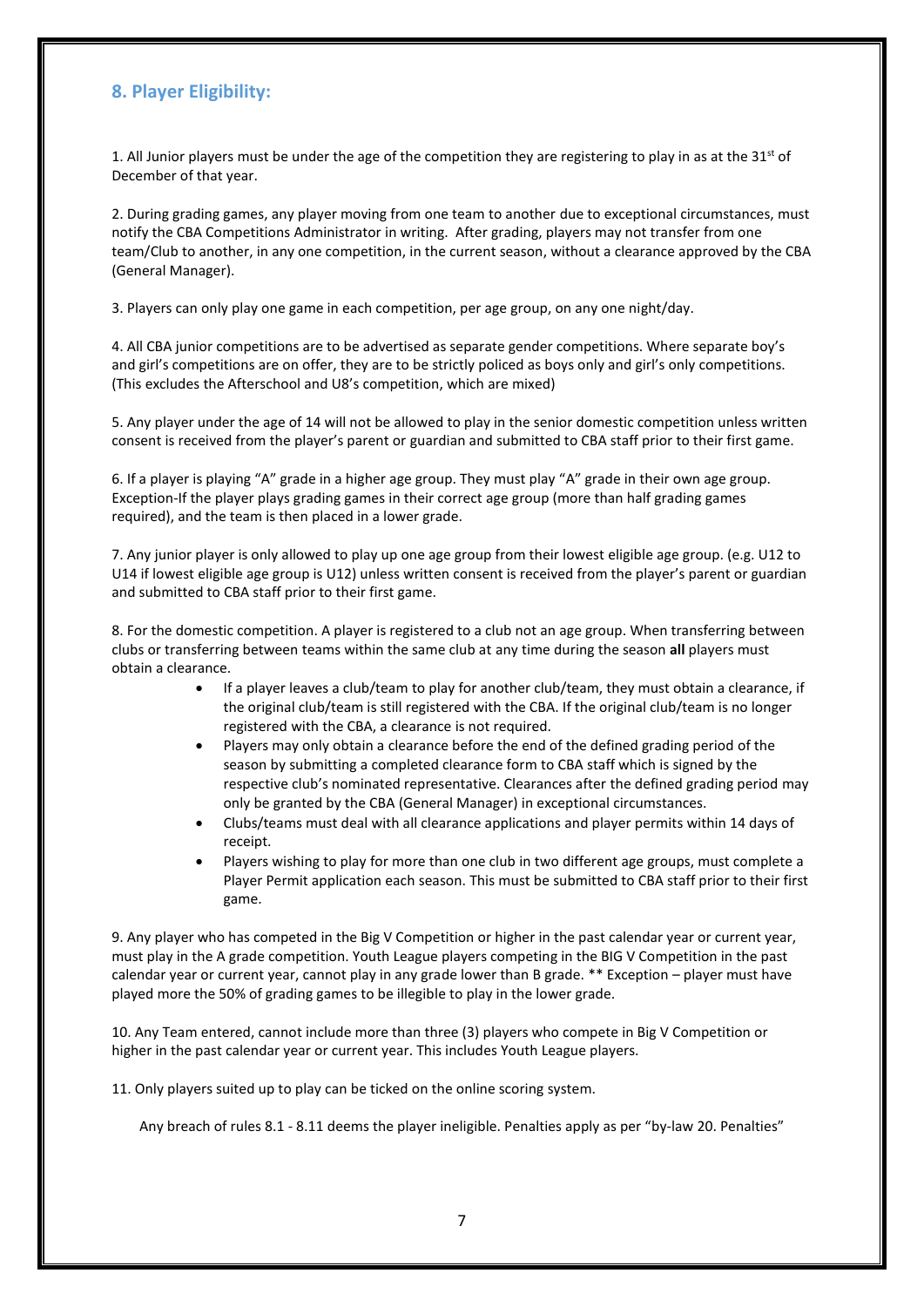## **8. Player Eligibility:**

1. All Junior players must be under the age of the competition they are registering to play in as at the  $31<sup>st</sup>$  of December of that year.

2. During grading games, any player moving from one team to another due to exceptional circumstances, must notify the CBA Competitions Administrator in writing. After grading, players may not transfer from one team/Club to another, in any one competition, in the current season, without a clearance approved by the CBA (General Manager).

3. Players can only play one game in each competition, per age group, on any one night/day.

4. All CBA junior competitions are to be advertised as separate gender competitions. Where separate boy's and girl's competitions are on offer, they are to be strictly policed as boys only and girl's only competitions. (This excludes the Afterschool and U8's competition, which are mixed)

5. Any player under the age of 14 will not be allowed to play in the senior domestic competition unless written consent is received from the player's parent or guardian and submitted to CBA staff prior to their first game.

6. If a player is playing "A" grade in a higher age group. They must play "A" grade in their own age group. Exception-If the player plays grading games in their correct age group (more than half grading games required), and the team is then placed in a lower grade.

7. Any junior player is only allowed to play up one age group from their lowest eligible age group. (e.g. U12 to U14 if lowest eligible age group is U12) unless written consent is received from the player's parent or guardian and submitted to CBA staff prior to their first game.

8. For the domestic competition. A player is registered to a club not an age group. When transferring between clubs or transferring between teams within the same club at any time during the season **all** players must obtain a clearance.

- If a player leaves a club/team to play for another club/team, they must obtain a clearance, if the original club/team is still registered with the CBA. If the original club/team is no longer registered with the CBA, a clearance is not required.
- Players may only obtain a clearance before the end of the defined grading period of the season by submitting a completed clearance form to CBA staff which is signed by the respective club's nominated representative. Clearances after the defined grading period may only be granted by the CBA (General Manager) in exceptional circumstances.
- Clubs/teams must deal with all clearance applications and player permits within 14 days of receipt.
- Players wishing to play for more than one club in two different age groups, must complete a Player Permit application each season. This must be submitted to CBA staff prior to their first game.

9. Any player who has competed in the Big V Competition or higher in the past calendar year or current year, must play in the A grade competition. Youth League players competing in the BIG V Competition in the past calendar year or current year, cannot play in any grade lower than B grade. \*\* Exception – player must have played more the 50% of grading games to be illegible to play in the lower grade.

10. Any Team entered, cannot include more than three (3) players who compete in Big V Competition or higher in the past calendar year or current year. This includes Youth League players.

11. Only players suited up to play can be ticked on the online scoring system.

Any breach of rules 8.1 - 8.11 deems the player ineligible. Penalties apply as per "by-law 20. Penalties"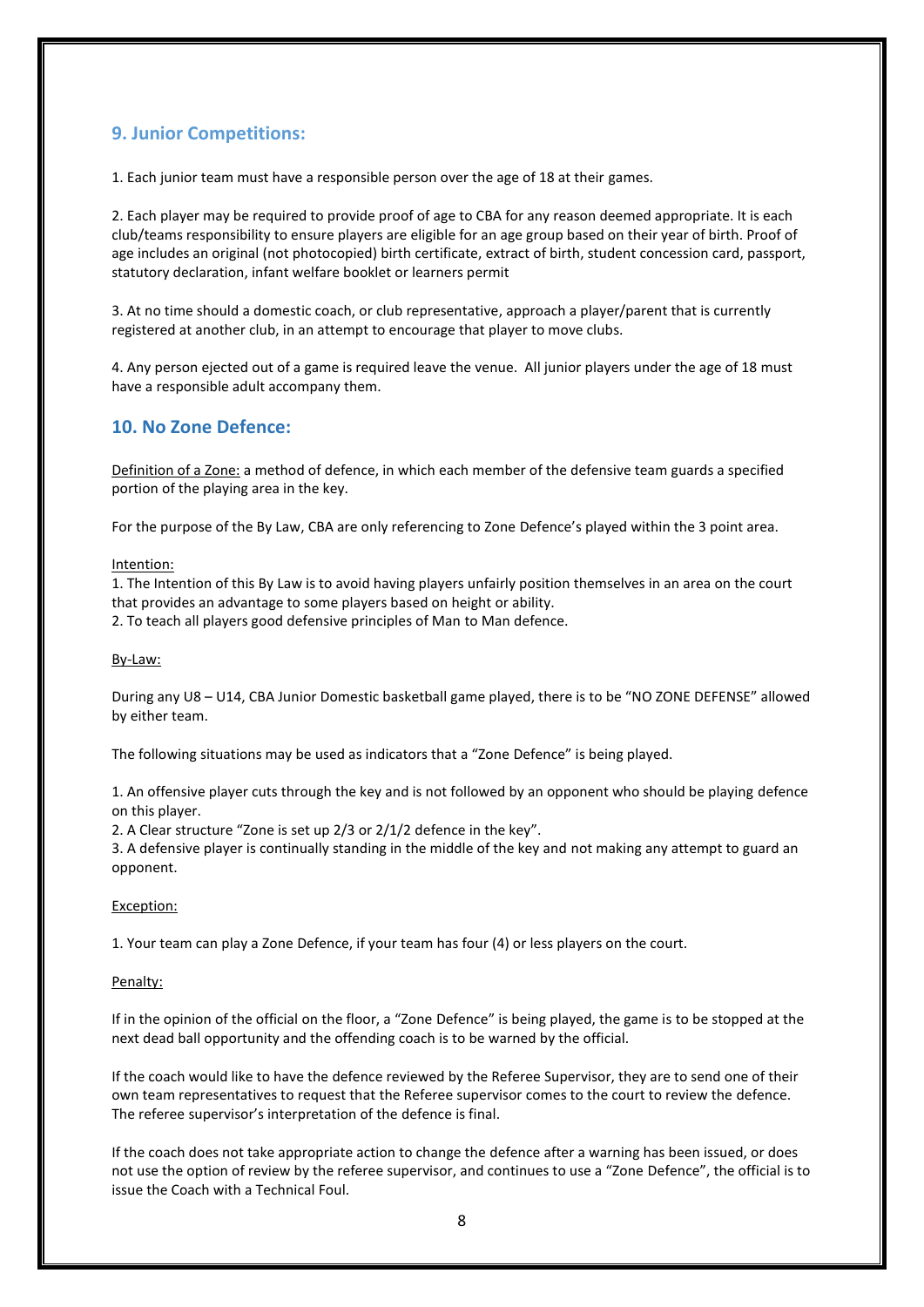## <span id="page-7-0"></span>**9. Junior Competitions:**

1. Each junior team must have a responsible person over the age of 18 at their games.

2. Each player may be required to provide proof of age to CBA for any reason deemed appropriate. It is each club/teams responsibility to ensure players are eligible for an age group based on their year of birth. Proof of age includes an original (not photocopied) birth certificate, extract of birth, student concession card, passport, statutory declaration, infant welfare booklet or learners permit

3. At no time should a domestic coach, or club representative, approach a player/parent that is currently registered at another club, in an attempt to encourage that player to move clubs.

4. Any person ejected out of a game is required leave the venue. All junior players under the age of 18 must have a responsible adult accompany them.

### **10. No Zone Defence:**

Definition of a Zone: a method of defence, in which each member of the defensive team guards a specified portion of the playing area in the key.

For the purpose of the By Law, CBA are only referencing to Zone Defence's played within the 3 point area.

Intention:

1. The Intention of this By Law is to avoid having players unfairly position themselves in an area on the court that provides an advantage to some players based on height or ability.

2. To teach all players good defensive principles of Man to Man defence.

#### By-Law:

During any U8 – U14, CBA Junior Domestic basketball game played, there is to be "NO ZONE DEFENSE" allowed by either team.

The following situations may be used as indicators that a "Zone Defence" is being played.

1. An offensive player cuts through the key and is not followed by an opponent who should be playing defence on this player.

2. A Clear structure "Zone is set up 2/3 or 2/1/2 defence in the key".

3. A defensive player is continually standing in the middle of the key and not making any attempt to guard an opponent.

#### Exception:

1. Your team can play a Zone Defence, if your team has four (4) or less players on the court.

#### Penalty:

If in the opinion of the official on the floor, a "Zone Defence" is being played, the game is to be stopped at the next dead ball opportunity and the offending coach is to be warned by the official.

If the coach would like to have the defence reviewed by the Referee Supervisor, they are to send one of their own team representatives to request that the Referee supervisor comes to the court to review the defence. The referee supervisor's interpretation of the defence is final.

If the coach does not take appropriate action to change the defence after a warning has been issued, or does not use the option of review by the referee supervisor, and continues to use a "Zone Defence", the official is to issue the Coach with a Technical Foul.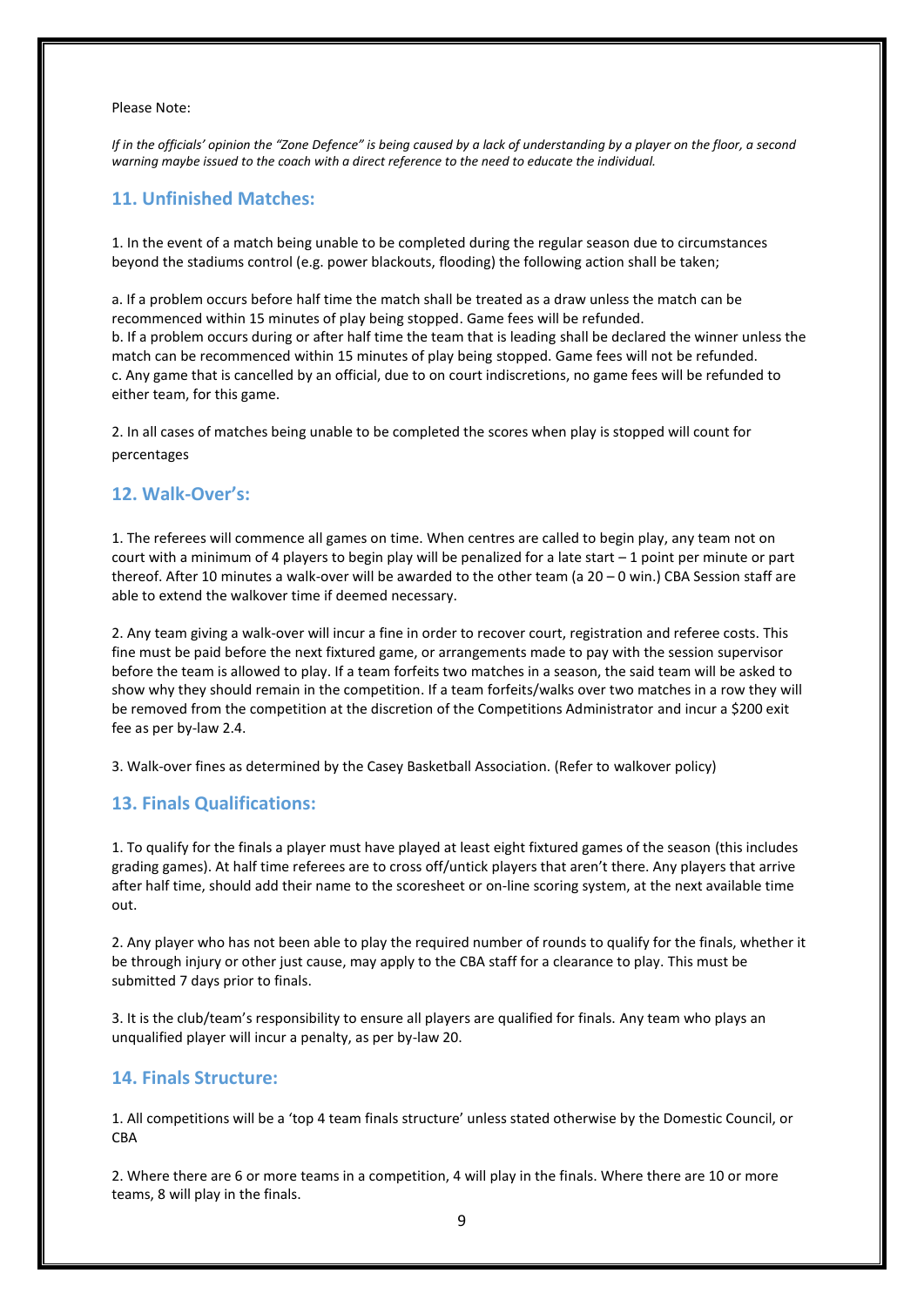#### Please Note:

*If in the officials' opinion the "Zone Defence" is being caused by a lack of understanding by a player on the floor, a second warning maybe issued to the coach with a direct reference to the need to educate the individual.* 

#### **11. Unfinished Matches:**

1. In the event of a match being unable to be completed during the regular season due to circumstances beyond the stadiums control (e.g. power blackouts, flooding) the following action shall be taken;

a. If a problem occurs before half time the match shall be treated as a draw unless the match can be recommenced within 15 minutes of play being stopped. Game fees will be refunded. b. If a problem occurs during or after half time the team that is leading shall be declared the winner unless the match can be recommenced within 15 minutes of play being stopped. Game fees will not be refunded. c. Any game that is cancelled by an official, due to on court indiscretions, no game fees will be refunded to either team, for this game.

2. In all cases of matches being unable to be completed the scores when play is stopped will count for percentages

#### <span id="page-8-0"></span>**12. Walk-Over's:**

1. The referees will commence all games on time. When centres are called to begin play, any team not on court with a minimum of 4 players to begin play will be penalized for a late start  $-1$  point per minute or part thereof. After 10 minutes a walk-over will be awarded to the other team (a 20 – 0 win.) CBA Session staff are able to extend the walkover time if deemed necessary.

2. Any team giving a walk-over will incur a fine in order to recover court, registration and referee costs. This fine must be paid before the next fixtured game, or arrangements made to pay with the session supervisor before the team is allowed to play. If a team forfeits two matches in a season, the said team will be asked to show why they should remain in the competition. If a team forfeits/walks over two matches in a row they will be removed from the competition at the discretion of the Competitions Administrator and incur a \$200 exit fee as per by-law 2.4.

<span id="page-8-1"></span>3. Walk-over fines as determined by the Casey Basketball Association. (Refer to walkover policy)

#### **13. Finals Qualifications:**

1. To qualify for the finals a player must have played at least eight fixtured games of the season (this includes grading games). At half time referees are to cross off/untick players that aren't there. Any players that arrive after half time, should add their name to the scoresheet or on-line scoring system, at the next available time out.

2. Any player who has not been able to play the required number of rounds to qualify for the finals, whether it be through injury or other just cause, may apply to the CBA staff for a clearance to play. This must be submitted 7 days prior to finals.

3. It is the club/team's responsibility to ensure all players are qualified for finals. Any team who plays an unqualified player will incur a penalty, as per by-law 20.

#### **14. Finals Structure:**

1. All competitions will be a 'top 4 team finals structure' unless stated otherwise by the Domestic Council, or **CBA** 

2. Where there are 6 or more teams in a competition, 4 will play in the finals. Where there are 10 or more teams, 8 will play in the finals.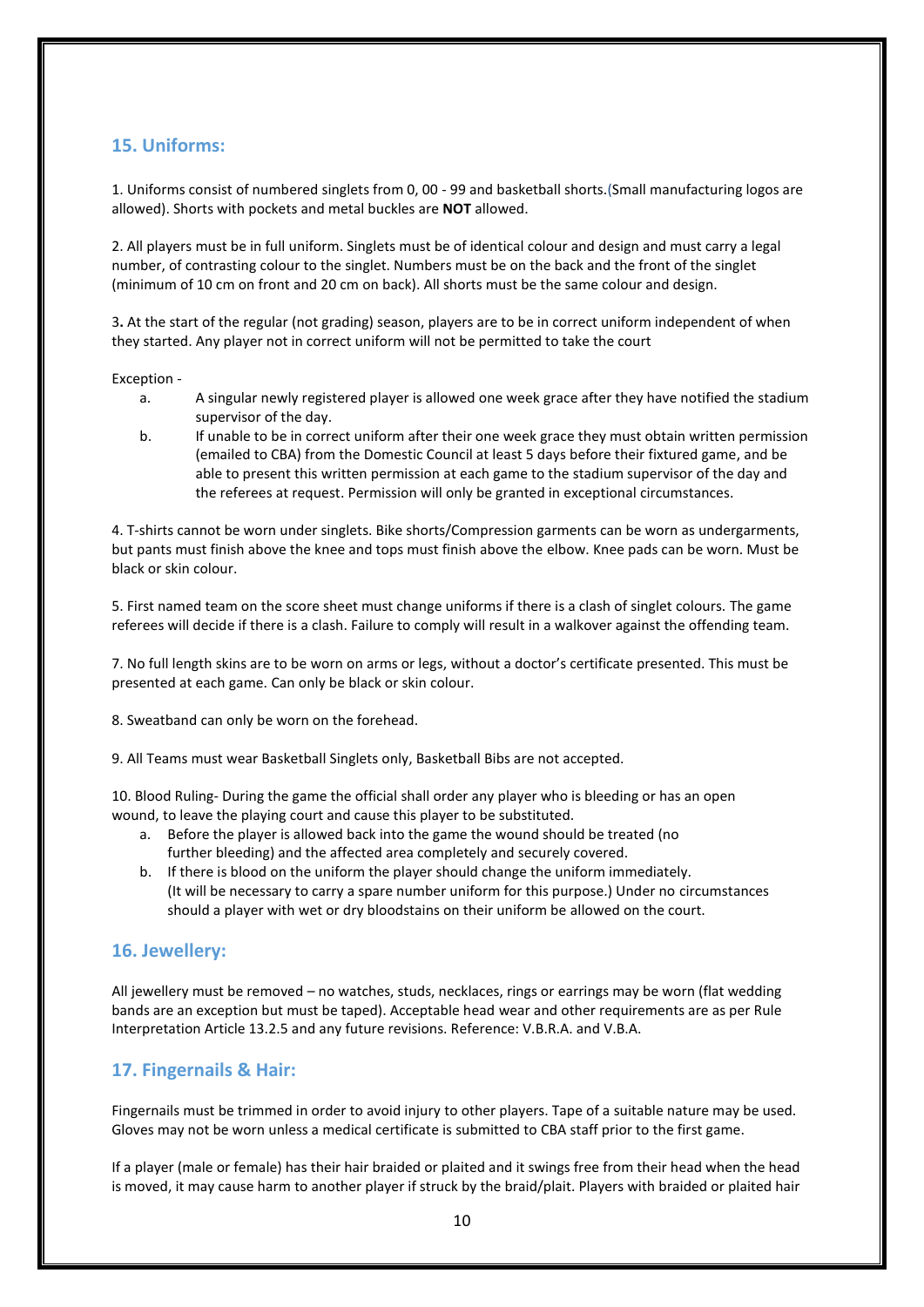### <span id="page-9-0"></span>**15. Uniforms:**

1. Uniforms consist of numbered singlets from 0, 00 - 99 and basketball shorts.(Small manufacturing logos are allowed). Shorts with pockets and metal buckles are **NOT** allowed.

2. All players must be in full uniform. Singlets must be of identical colour and design and must carry a legal number, of contrasting colour to the singlet. Numbers must be on the back and the front of the singlet (minimum of 10 cm on front and 20 cm on back). All shorts must be the same colour and design.

3**.** At the start of the regular (not grading) season, players are to be in correct uniform independent of when they started. Any player not in correct uniform will not be permitted to take the court

#### Exception -

- a. A singular newly registered player is allowed one week grace after they have notified the stadium supervisor of the day.
- b. If unable to be in correct uniform after their one week grace they must obtain written permission (emailed to CBA) from the Domestic Council at least 5 days before their fixtured game, and be able to present this written permission at each game to the stadium supervisor of the day and the referees at request. Permission will only be granted in exceptional circumstances.

4. T-shirts cannot be worn under singlets. Bike shorts/Compression garments can be worn as undergarments, but pants must finish above the knee and tops must finish above the elbow. Knee pads can be worn. Must be black or skin colour.

5. First named team on the score sheet must change uniforms if there is a clash of singlet colours. The game referees will decide if there is a clash. Failure to comply will result in a walkover against the offending team.

7. No full length skins are to be worn on arms or legs, without a doctor's certificate presented. This must be presented at each game. Can only be black or skin colour.

8. Sweatband can only be worn on the forehead.

9. All Teams must wear Basketball Singlets only, Basketball Bibs are not accepted.

10. Blood Ruling- During the game the official shall order any player who is bleeding or has an open wound, to leave the playing court and cause this player to be substituted.

- a. Before the player is allowed back into the game the wound should be treated (no further bleeding) and the affected area completely and securely covered.
- b. If there is blood on the uniform the player should change the uniform immediately. (It will be necessary to carry a spare number uniform for this purpose.) Under no circumstances should a player with wet or dry bloodstains on their uniform be allowed on the court.

#### <span id="page-9-2"></span>**16. Jewellery:**

All jewellery must be removed – no watches, studs, necklaces, rings or earrings may be worn (flat wedding bands are an exception but must be taped). Acceptable head wear and other requirements are as per Rule Interpretation Article 13.2.5 and any future revisions. Reference: V.B.R.A. and V.B.A.

## <span id="page-9-1"></span>**17. Fingernails & Hair:**

Fingernails must be trimmed in order to avoid injury to other players. Tape of a suitable nature may be used. Gloves may not be worn unless a medical certificate is submitted to CBA staff prior to the first game.

If a player (male or female) has their hair braided or plaited and it swings free from their head when the head is moved, it may cause harm to another player if struck by the braid/plait. Players with braided or plaited hair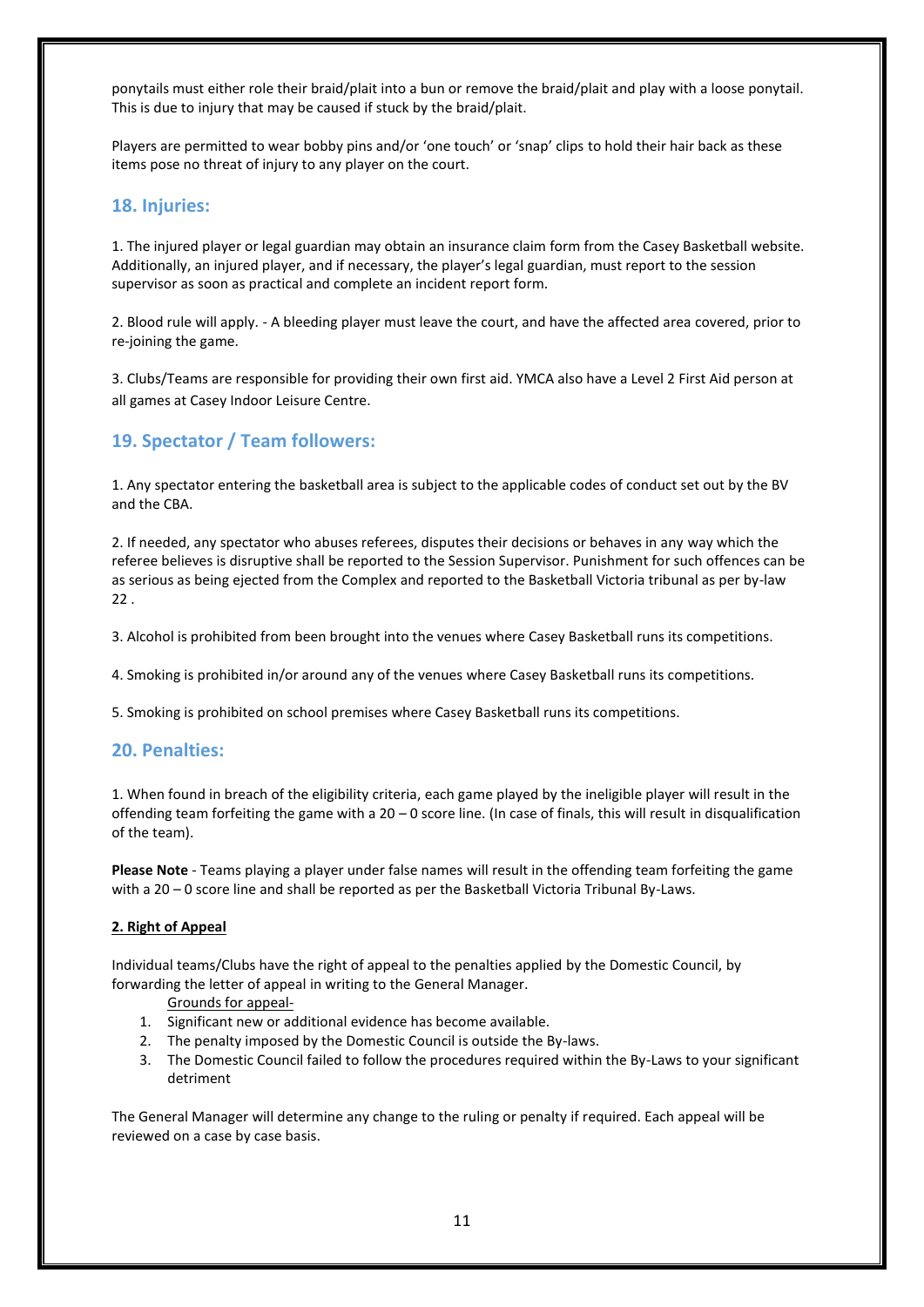ponytails must either role their braid/plait into a bun or remove the braid/plait and play with a loose ponytail. This is due to injury that may be caused if stuck by the braid/plait.

Players are permitted to wear bobby pins and/or 'one touch' or 'snap' clips to hold their hair back as these items pose no threat of injury to any player on the court.

#### <span id="page-10-1"></span>**18. Injuries:**

1. The injured player or legal guardian may obtain an insurance claim form from the Casey Basketball website. Additionally, an injured player, and if necessary, the player's legal guardian, must report to the session supervisor as soon as practical and complete an incident report form.

2. Blood rule will apply. - A bleeding player must leave the court, and have the affected area covered, prior to re-joining the game.

3. Clubs/Teams are responsible for providing their own first aid. YMCA also have a Level 2 First Aid person at all games at Casey Indoor Leisure Centre.

# <span id="page-10-2"></span>**19. Spectator / Team followers:**

1. Any spectator entering the basketball area is subject to the applicable codes of conduct set out by the BV and the CBA.

2. If needed, any spectator who abuses referees, disputes their decisions or behaves in any way which the referee believes is disruptive shall be reported to the Session Supervisor. Punishment for such offences can be as serious as being ejected from the Complex and reported to the Basketball Victoria tribunal as per by-law 22 .

3. Alcohol is prohibited from been brought into the venues where Casey Basketball runs its competitions.

4. Smoking is prohibited in/or around any of the venues where Casey Basketball runs its competitions.

<span id="page-10-0"></span>5. Smoking is prohibited on school premises where Casey Basketball runs its competitions.

#### **20. Penalties:**

1. When found in breach of the eligibility criteria, each game played by the ineligible player will result in the offending team forfeiting the game with a  $20 - 0$  score line. (In case of finals, this will result in disqualification of the team).

**Please Note** - Teams playing a player under false names will result in the offending team forfeiting the game with a 20 – 0 score line and shall be reported as per the Basketball Victoria Tribunal By-Laws.

#### **2. Right of Appeal**

Individual teams/Clubs have the right of appeal to the penalties applied by the Domestic Council, by forwarding the letter of appeal in writing to the General Manager.

#### Grounds for appeal-

- 1. Significant new or additional evidence has become available.
- 2. The penalty imposed by the Domestic Council is outside the By-laws.
- 3. The Domestic Council failed to follow the procedures required within the By-Laws to your significant detriment

The General Manager will determine any change to the ruling or penalty if required. Each appeal will be reviewed on a case by case basis.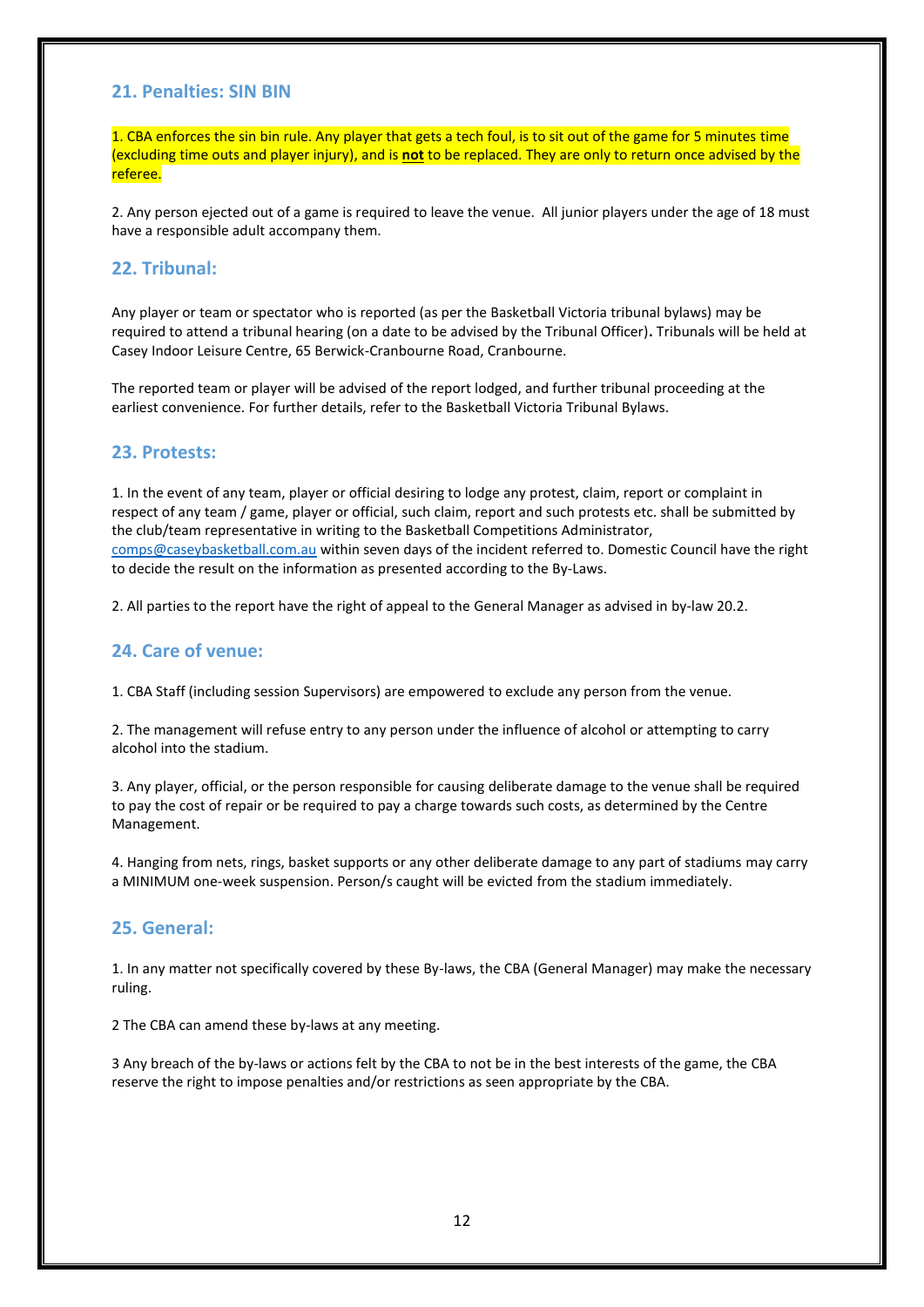### <span id="page-11-3"></span>**21. Penalties: SIN BIN**

1. CBA enforces the sin bin rule. Any player that gets a tech foul, is to sit out of the game for 5 minutes time (excluding time outs and player injury), and is **not** to be replaced. They are only to return once advised by the referee.

2. Any person ejected out of a game is required to leave the venue. All junior players under the age of 18 must have a responsible adult accompany them.

### <span id="page-11-0"></span>**22. Tribunal:**

Any player or team or spectator who is reported (as per the Basketball Victoria tribunal bylaws) may be required to attend a tribunal hearing (on a date to be advised by the Tribunal Officer)**.** Tribunals will be held at Casey Indoor Leisure Centre, 65 Berwick-Cranbourne Road, Cranbourne.

The reported team or player will be advised of the report lodged, and further tribunal proceeding at the earliest convenience. For further details, refer to the Basketball Victoria Tribunal Bylaws.

#### <span id="page-11-1"></span>**23. Protests:**

1. In the event of any team, player or official desiring to lodge any protest, claim, report or complaint in respect of any team / game, player or official, such claim, report and such protests etc. shall be submitted by the club/team representative in writing to the Basketball Competitions Administrator, [comps@caseybasketball.com.au](mailto:comps@caseybasketball.com.au) within seven days of the incident referred to. Domestic Council have the right to decide the result on the information as presented according to the By-Laws.

2. All parties to the report have the right of appeal to the General Manager as advised in by-law 20.2.

#### <span id="page-11-2"></span>**24. Care of venue:**

1. CBA Staff (including session Supervisors) are empowered to exclude any person from the venue.

2. The management will refuse entry to any person under the influence of alcohol or attempting to carry alcohol into the stadium.

3. Any player, official, or the person responsible for causing deliberate damage to the venue shall be required to pay the cost of repair or be required to pay a charge towards such costs, as determined by the Centre Management.

4. Hanging from nets, rings, basket supports or any other deliberate damage to any part of stadiums may carry a MINIMUM one-week suspension. Person/s caught will be evicted from the stadium immediately.

#### <span id="page-11-4"></span>**25. General:**

1. In any matter not specifically covered by these By-laws, the CBA (General Manager) may make the necessary ruling.

2 The CBA can amend these by-laws at any meeting.

3 Any breach of the by-laws or actions felt by the CBA to not be in the best interests of the game, the CBA reserve the right to impose penalties and/or restrictions as seen appropriate by the CBA.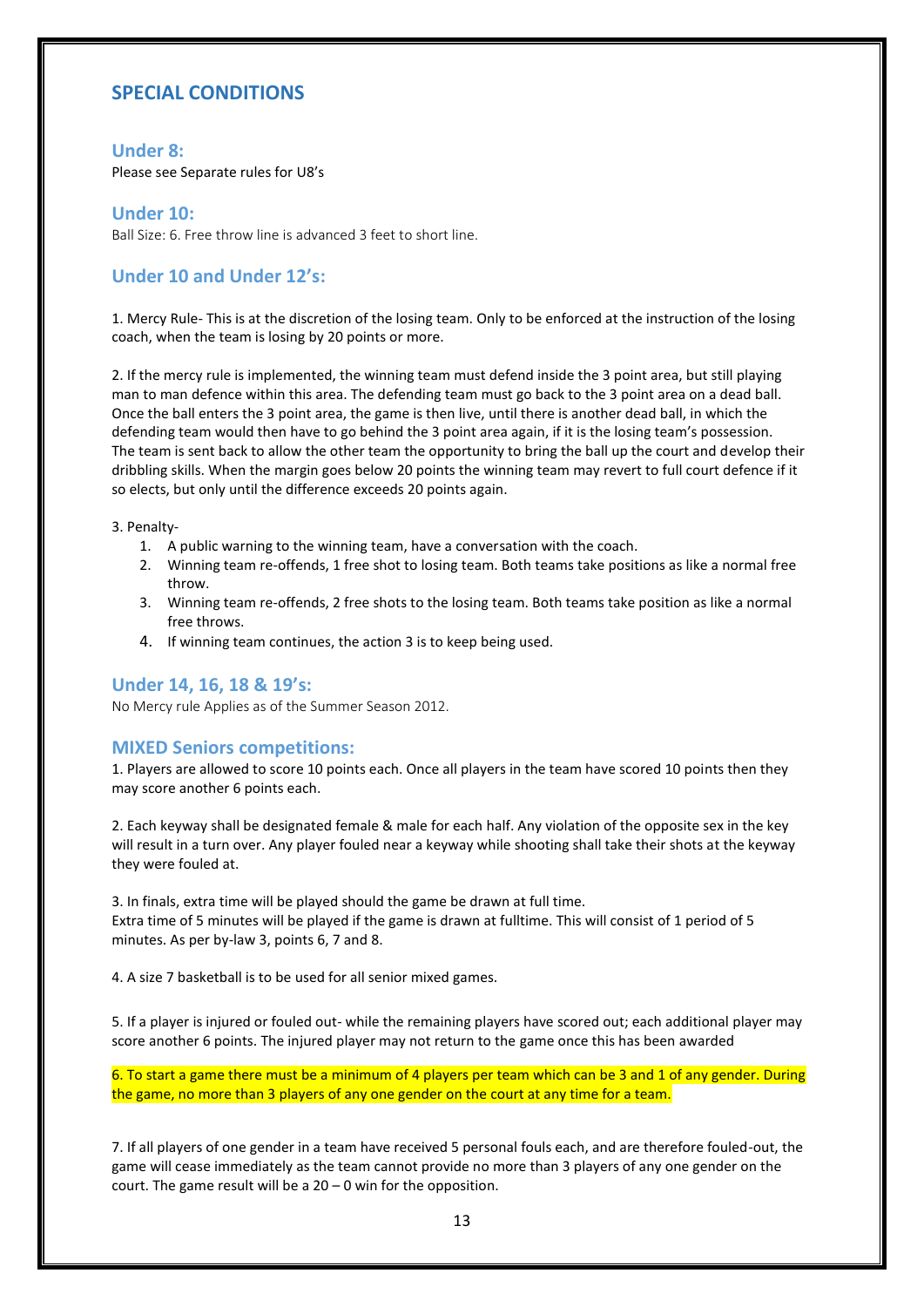## <span id="page-12-0"></span>**SPECIAL CONDITIONS**

#### **Under 8:**

Please see Separate rules for U8's

#### <span id="page-12-1"></span>**Under 10:**

Ball Size: 6. Free throw line is advanced 3 feet to short line.

#### <span id="page-12-2"></span>**Under 10 and Under 12's:**

1. Mercy Rule- This is at the discretion of the losing team. Only to be enforced at the instruction of the losing coach, when the team is losing by 20 points or more.

2. If the mercy rule is implemented, the winning team must defend inside the 3 point area, but still playing man to man defence within this area. The defending team must go back to the 3 point area on a dead ball. Once the ball enters the 3 point area, the game is then live, until there is another dead ball, in which the defending team would then have to go behind the 3 point area again, if it is the losing team's possession. The team is sent back to allow the other team the opportunity to bring the ball up the court and develop their dribbling skills. When the margin goes below 20 points the winning team may revert to full court defence if it so elects, but only until the difference exceeds 20 points again.

3. Penalty-

- 1. A public warning to the winning team, have a conversation with the coach.
- 2. Winning team re-offends, 1 free shot to losing team. Both teams take positions as like a normal free throw.
- 3. Winning team re-offends, 2 free shots to the losing team. Both teams take position as like a normal free throws.
- <span id="page-12-3"></span>4. If winning team continues, the action 3 is to keep being used.

#### **Under 14, 16, 18 & 19's:**

No Mercy rule Applies as of the Summer Season 2012.

#### <span id="page-12-4"></span>**MIXED Seniors competitions:**

1. Players are allowed to score 10 points each. Once all players in the team have scored 10 points then they may score another 6 points each.

2. Each keyway shall be designated female & male for each half. Any violation of the opposite sex in the key will result in a turn over. Any player fouled near a keyway while shooting shall take their shots at the keyway they were fouled at.

3. In finals, extra time will be played should the game be drawn at full time. Extra time of 5 minutes will be played if the game is drawn at fulltime. This will consist of 1 period of 5 minutes. As per by-law 3, points 6, 7 and 8.

4. A size 7 basketball is to be used for all senior mixed games.

5. If a player is injured or fouled out- while the remaining players have scored out; each additional player may score another 6 points. The injured player may not return to the game once this has been awarded

6. To start a game there must be a minimum of 4 players per team which can be 3 and 1 of any gender. During the game, no more than 3 players of any one gender on the court at any time for a team.

7. If all players of one gender in a team have received 5 personal fouls each, and are therefore fouled-out, the game will cease immediately as the team cannot provide no more than 3 players of any one gender on the court. The game result will be a  $20 - 0$  win for the opposition.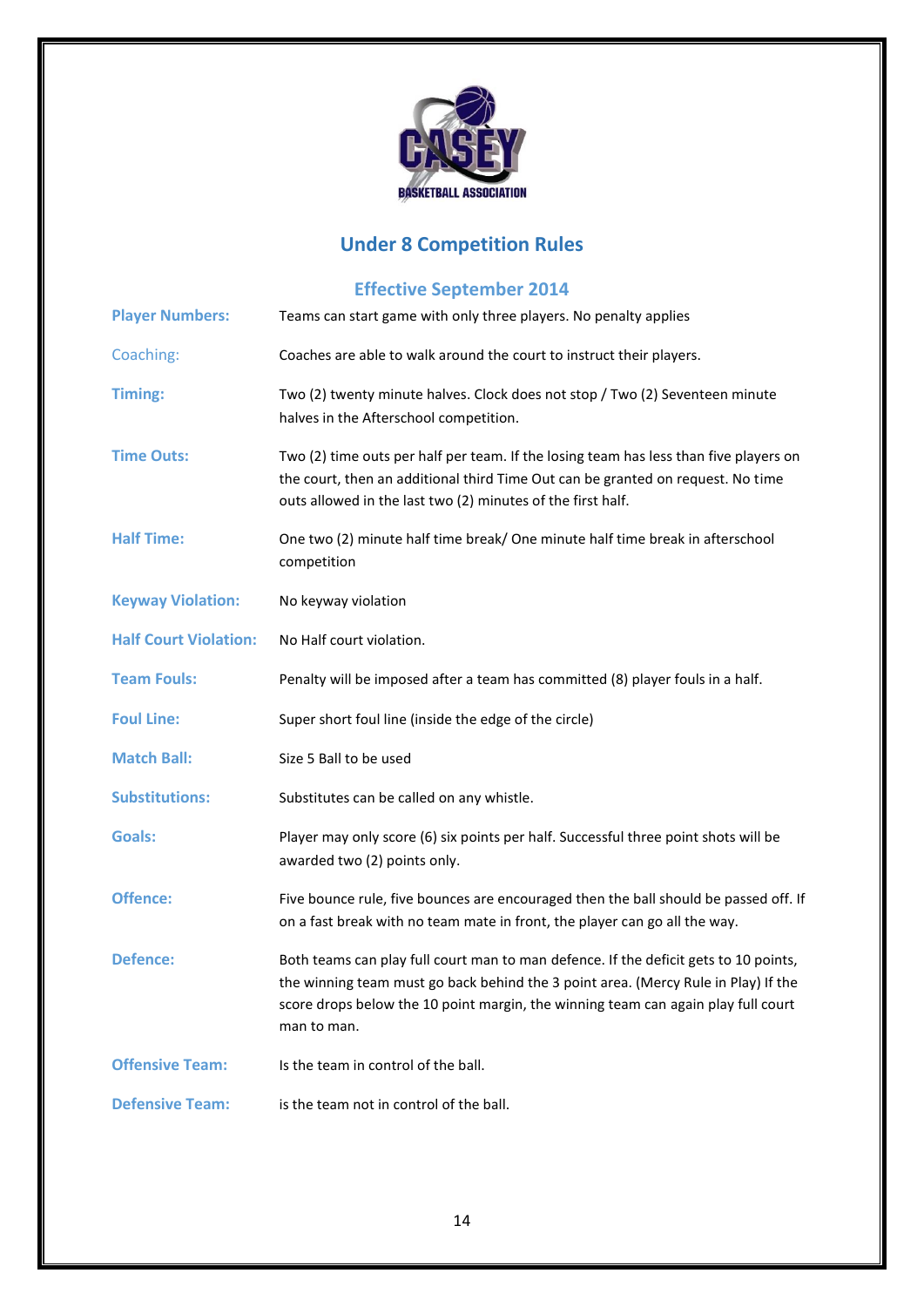

# **Under 8 Competition Rules**

# <span id="page-13-2"></span>**Effective September 2014**

<span id="page-13-15"></span><span id="page-13-14"></span><span id="page-13-13"></span><span id="page-13-12"></span><span id="page-13-11"></span><span id="page-13-10"></span><span id="page-13-9"></span><span id="page-13-8"></span><span id="page-13-7"></span><span id="page-13-6"></span><span id="page-13-5"></span><span id="page-13-4"></span><span id="page-13-3"></span><span id="page-13-1"></span><span id="page-13-0"></span>

| <b>Player Numbers:</b>       | Teams can start game with only three players. No penalty applies                                                                                                                                                                                                               |
|------------------------------|--------------------------------------------------------------------------------------------------------------------------------------------------------------------------------------------------------------------------------------------------------------------------------|
| Coaching:                    | Coaches are able to walk around the court to instruct their players.                                                                                                                                                                                                           |
| <b>Timing:</b>               | Two (2) twenty minute halves. Clock does not stop / Two (2) Seventeen minute<br>halves in the Afterschool competition.                                                                                                                                                         |
| <b>Time Outs:</b>            | Two (2) time outs per half per team. If the losing team has less than five players on<br>the court, then an additional third Time Out can be granted on request. No time<br>outs allowed in the last two (2) minutes of the first half.                                        |
| <b>Half Time:</b>            | One two (2) minute half time break/ One minute half time break in afterschool<br>competition                                                                                                                                                                                   |
| <b>Keyway Violation:</b>     | No keyway violation                                                                                                                                                                                                                                                            |
| <b>Half Court Violation:</b> | No Half court violation.                                                                                                                                                                                                                                                       |
| <b>Team Fouls:</b>           | Penalty will be imposed after a team has committed (8) player fouls in a half.                                                                                                                                                                                                 |
| <b>Foul Line:</b>            | Super short foul line (inside the edge of the circle)                                                                                                                                                                                                                          |
| <b>Match Ball:</b>           | Size 5 Ball to be used                                                                                                                                                                                                                                                         |
| <b>Substitutions:</b>        | Substitutes can be called on any whistle.                                                                                                                                                                                                                                      |
| Goals:                       | Player may only score (6) six points per half. Successful three point shots will be<br>awarded two (2) points only.                                                                                                                                                            |
| <b>Offence:</b>              | Five bounce rule, five bounces are encouraged then the ball should be passed off. If<br>on a fast break with no team mate in front, the player can go all the way.                                                                                                             |
| <b>Defence:</b>              | Both teams can play full court man to man defence. If the deficit gets to 10 points,<br>the winning team must go back behind the 3 point area. (Mercy Rule in Play) If the<br>score drops below the 10 point margin, the winning team can again play full court<br>man to man. |
| <b>Offensive Team:</b>       | Is the team in control of the ball.                                                                                                                                                                                                                                            |
| <b>Defensive Team:</b>       | is the team not in control of the ball.                                                                                                                                                                                                                                        |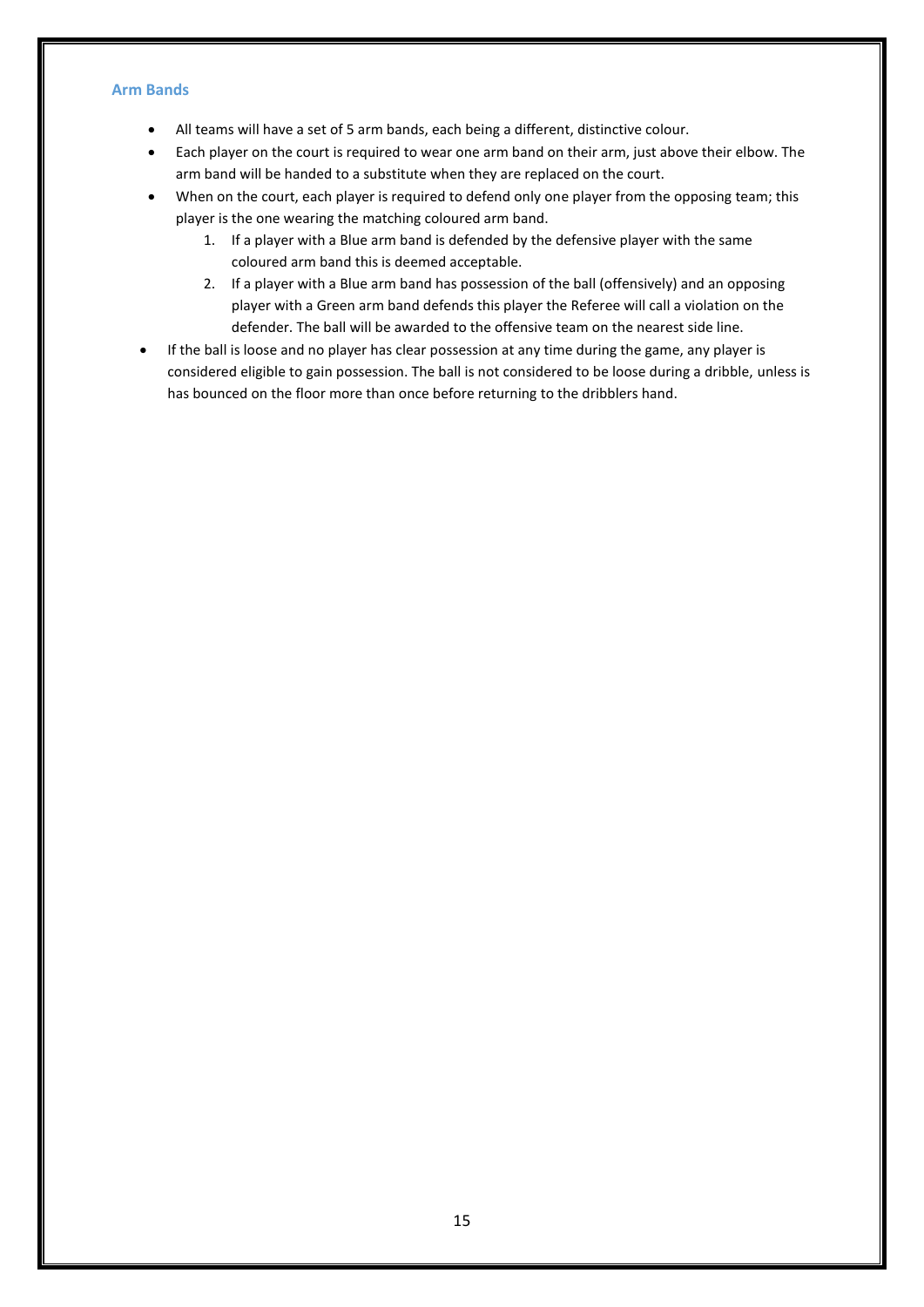#### **Arm Bands**

- All teams will have a set of 5 arm bands, each being a different, distinctive colour.
- Each player on the court is required to wear one arm band on their arm, just above their elbow. The arm band will be handed to a substitute when they are replaced on the court.
- When on the court, each player is required to defend only one player from the opposing team; this player is the one wearing the matching coloured arm band.
	- 1. If a player with a Blue arm band is defended by the defensive player with the same coloured arm band this is deemed acceptable.
	- 2. If a player with a Blue arm band has possession of the ball (offensively) and an opposing player with a Green arm band defends this player the Referee will call a violation on the defender. The ball will be awarded to the offensive team on the nearest side line.
- If the ball is loose and no player has clear possession at any time during the game, any player is considered eligible to gain possession. The ball is not considered to be loose during a dribble, unless is has bounced on the floor more than once before returning to the dribblers hand.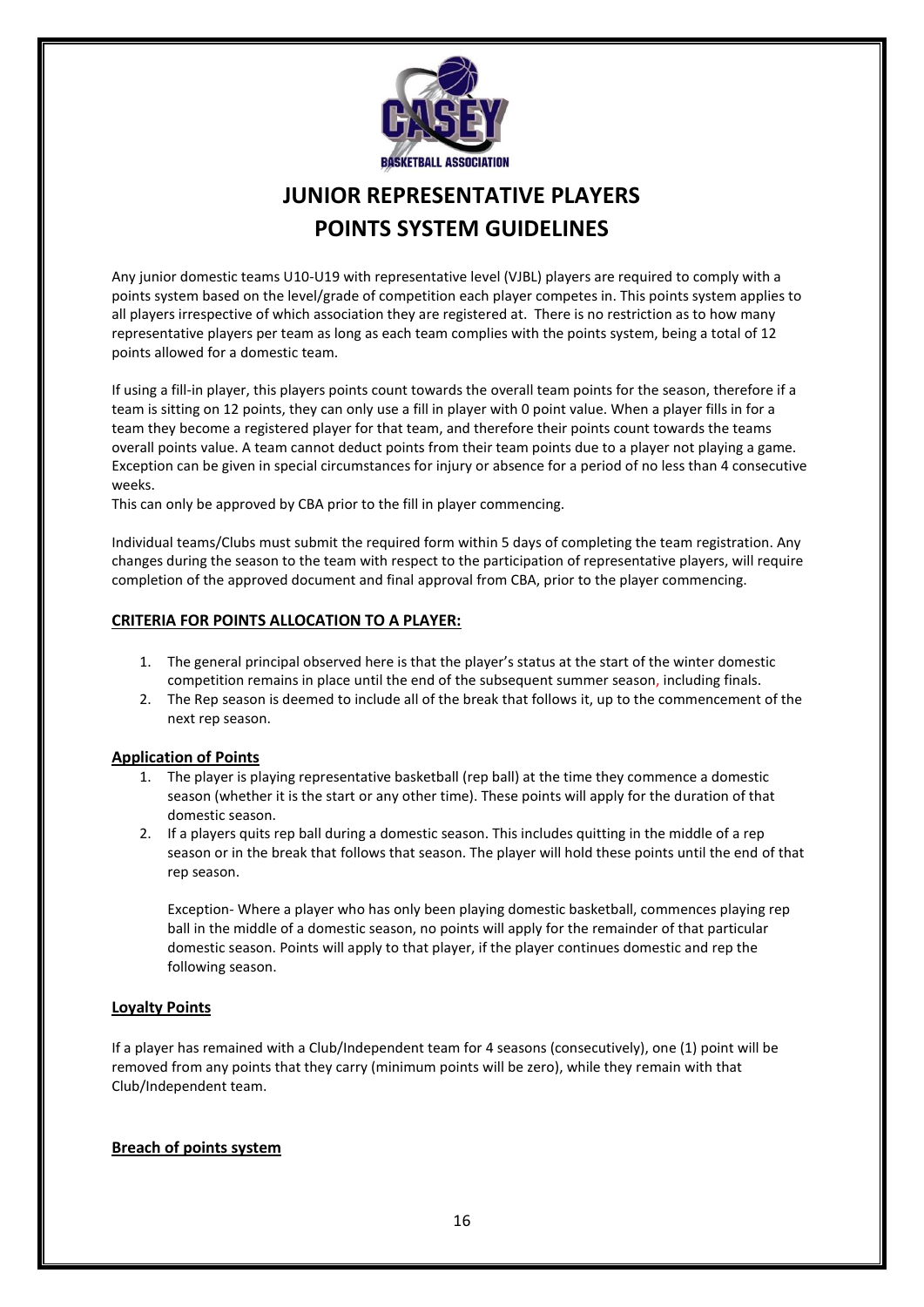

# **JUNIOR REPRESENTATIVE PLAYERS POINTS SYSTEM GUIDELINES**

Any junior domestic teams U10-U19 with representative level (VJBL) players are required to comply with a points system based on the level/grade of competition each player competes in. This points system applies to all players irrespective of which association they are registered at. There is no restriction as to how many representative players per team as long as each team complies with the points system, being a total of 12 points allowed for a domestic team.

If using a fill-in player, this players points count towards the overall team points for the season, therefore if a team is sitting on 12 points, they can only use a fill in player with 0 point value. When a player fills in for a team they become a registered player for that team, and therefore their points count towards the teams overall points value. A team cannot deduct points from their team points due to a player not playing a game. Exception can be given in special circumstances for injury or absence for a period of no less than 4 consecutive weeks.

This can only be approved by CBA prior to the fill in player commencing.

Individual teams/Clubs must submit the required form within 5 days of completing the team registration. Any changes during the season to the team with respect to the participation of representative players, will require completion of the approved document and final approval from CBA, prior to the player commencing.

### **CRITERIA FOR POINTS ALLOCATION TO A PLAYER:**

- 1. The general principal observed here is that the player's status at the start of the winter domestic competition remains in place until the end of the subsequent summer season, including finals.
- 2. The Rep season is deemed to include all of the break that follows it, up to the commencement of the next rep season.

#### **Application of Points**

- 1. The player is playing representative basketball (rep ball) at the time they commence a domestic season (whether it is the start or any other time). These points will apply for the duration of that domestic season.
- 2. If a players quits rep ball during a domestic season. This includes quitting in the middle of a rep season or in the break that follows that season. The player will hold these points until the end of that rep season.

Exception- Where a player who has only been playing domestic basketball, commences playing rep ball in the middle of a domestic season, no points will apply for the remainder of that particular domestic season. Points will apply to that player, if the player continues domestic and rep the following season.

#### **Loyalty Points**

If a player has remained with a Club/Independent team for 4 seasons (consecutively), one (1) point will be removed from any points that they carry (minimum points will be zero), while they remain with that Club/Independent team.

#### **Breach of points system**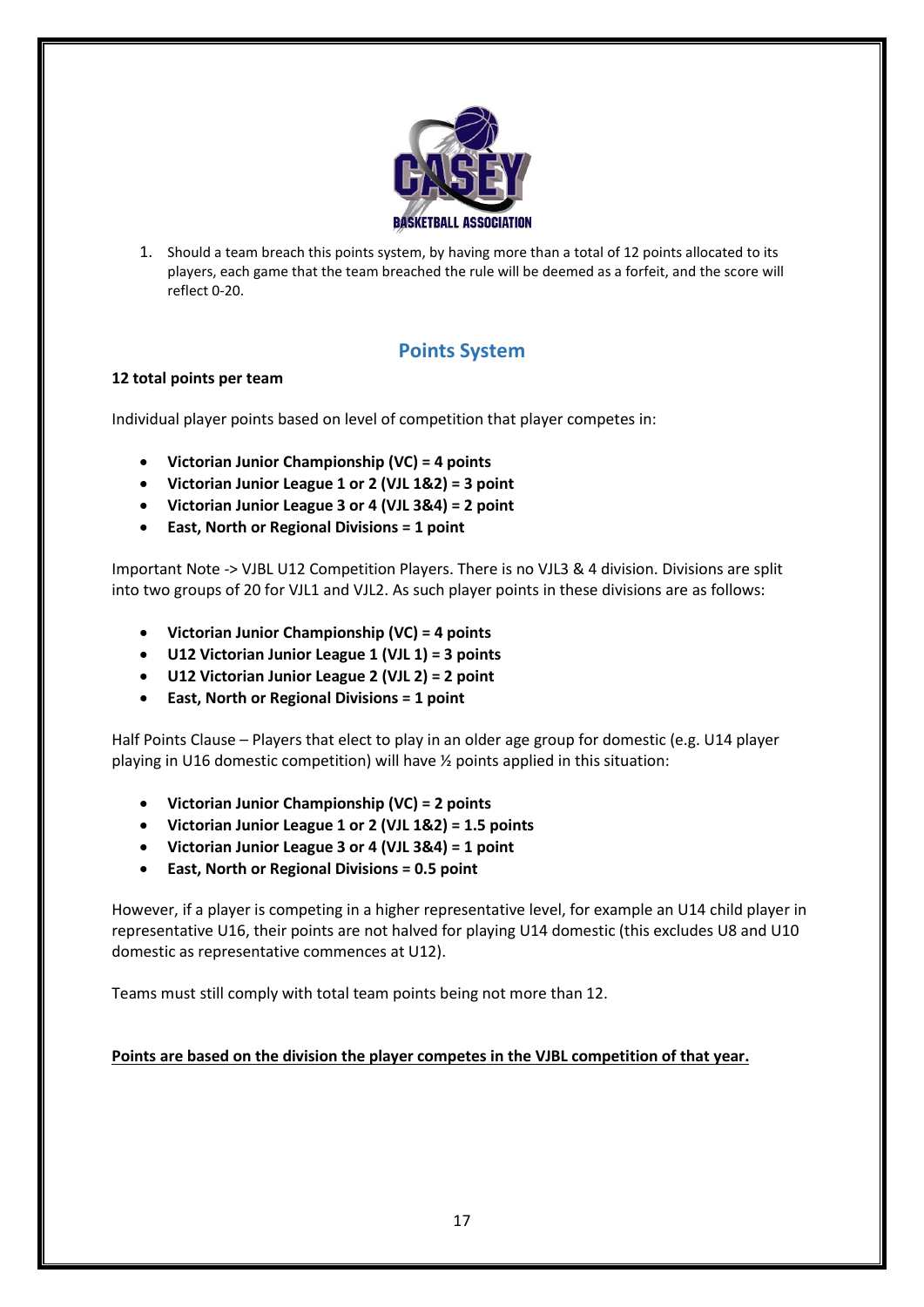

1. Should a team breach this points system, by having more than a total of 12 points allocated to its players, each game that the team breached the rule will be deemed as a forfeit, and the score will reflect 0-20.

# **Points System**

## **12 total points per team**

Individual player points based on level of competition that player competes in:

- **Victorian Junior Championship (VC) = 4 points**
- **Victorian Junior League 1 or 2 (VJL 1&2) = 3 point**
- **Victorian Junior League 3 or 4 (VJL 3&4) = 2 point**
- **East, North or Regional Divisions = 1 point**

Important Note -> VJBL U12 Competition Players. There is no VJL3 & 4 division. Divisions are split into two groups of 20 for VJL1 and VJL2. As such player points in these divisions are as follows:

- **Victorian Junior Championship (VC) = 4 points**
- **U12 Victorian Junior League 1 (VJL 1) = 3 points**
- **U12 Victorian Junior League 2 (VJL 2) = 2 point**
- **East, North or Regional Divisions = 1 point**

Half Points Clause – Players that elect to play in an older age group for domestic (e.g. U14 player playing in U16 domestic competition) will have ½ points applied in this situation:

- **Victorian Junior Championship (VC) = 2 points**
- **Victorian Junior League 1 or 2 (VJL 1&2) = 1.5 points**
- **Victorian Junior League 3 or 4 (VJL 3&4) = 1 point**
- **East, North or Regional Divisions = 0.5 point**

However, if a player is competing in a higher representative level, for example an U14 child player in representative U16, their points are not halved for playing U14 domestic (this excludes U8 and U10 domestic as representative commences at U12).

Teams must still comply with total team points being not more than 12.

## **Points are based on the division the player competes in the VJBL competition of that year.**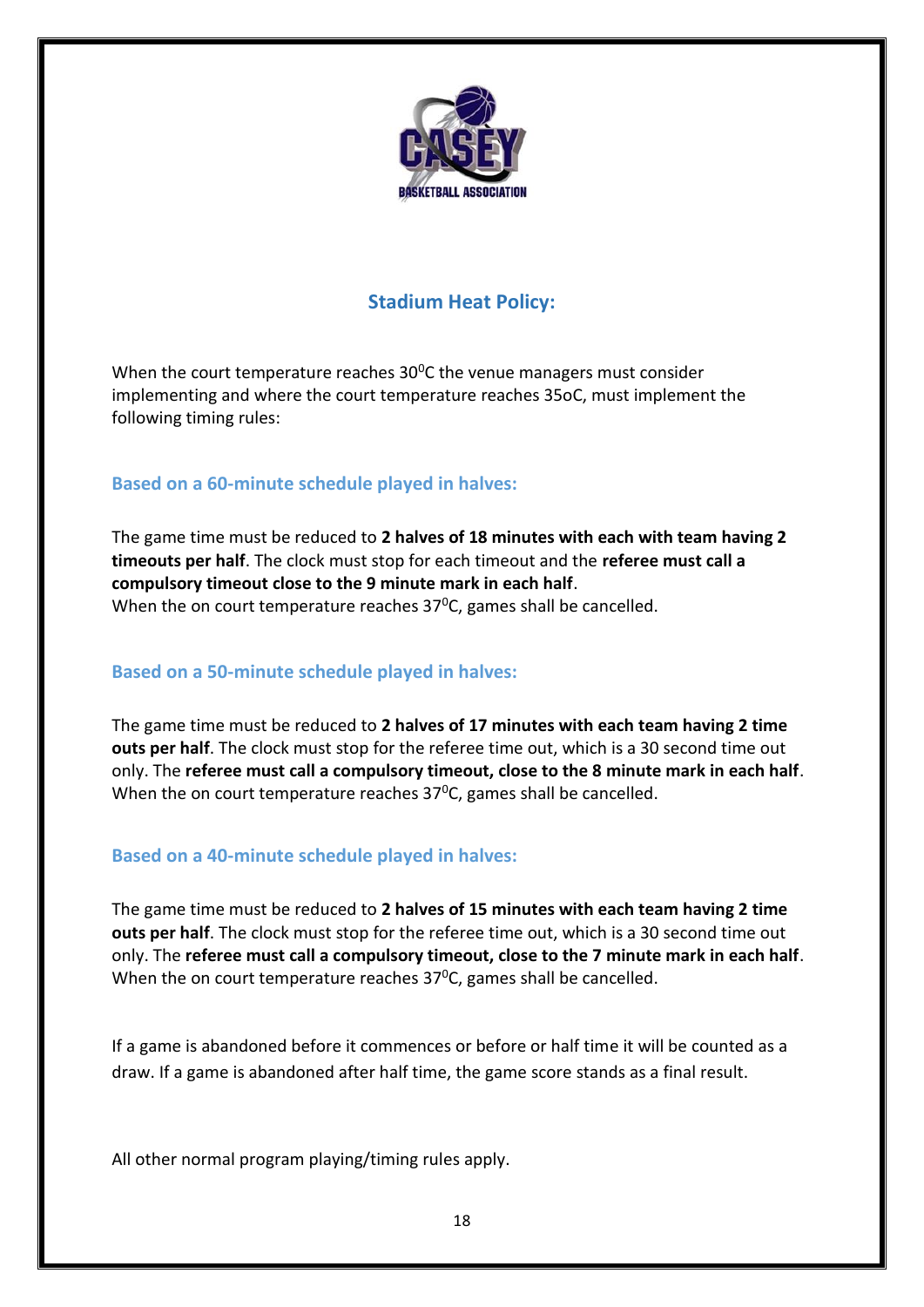

# **Stadium Heat Policy:**

<span id="page-17-0"></span>When the court temperature reaches  $30^0$ C the venue managers must consider implementing and where the court temperature reaches 35oC, must implement the following timing rules:

# <span id="page-17-1"></span>**Based on a 60-minute schedule played in halves:**

The game time must be reduced to **2 halves of 18 minutes with each with team having 2 timeouts per half**. The clock must stop for each timeout and the **referee must call a compulsory timeout close to the 9 minute mark in each half**. When the on court temperature reaches  $37^{\circ}$ C, games shall be cancelled.

# <span id="page-17-2"></span>**Based on a 50-minute schedule played in halves:**

The game time must be reduced to **2 halves of 17 minutes with each team having 2 time outs per half**. The clock must stop for the referee time out, which is a 30 second time out only. The **referee must call a compulsory timeout, close to the 8 minute mark in each half**. When the on court temperature reaches  $37^{\circ}$ C, games shall be cancelled.

# **Based on a 40-minute schedule played in halves:**

The game time must be reduced to **2 halves of 15 minutes with each team having 2 time outs per half**. The clock must stop for the referee time out, which is a 30 second time out only. The **referee must call a compulsory timeout, close to the 7 minute mark in each half**. When the on court temperature reaches  $37^{\circ}$ C, games shall be cancelled.

If a game is abandoned before it commences or before or half time it will be counted as a draw. If a game is abandoned after half time, the game score stands as a final result.

All other normal program playing/timing rules apply.